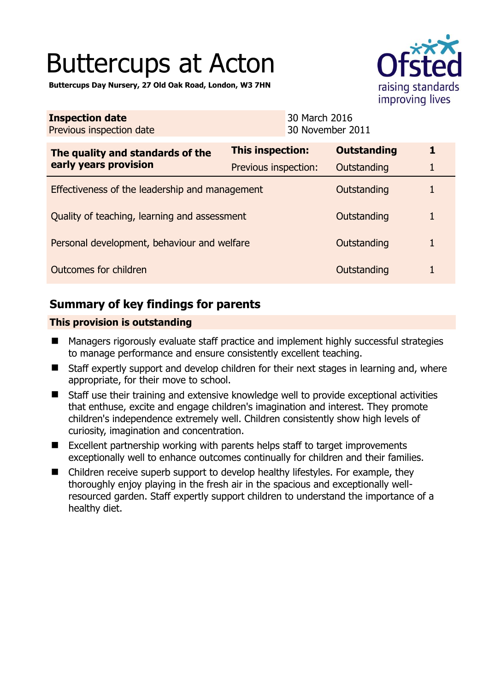# Buttercups at Acton

**Buttercups Day Nursery, 27 Old Oak Road, London, W3 7HN** 



| <b>Inspection date</b><br>Previous inspection date        |                      | 30 March 2016<br>30 November 2011 |             |
|-----------------------------------------------------------|----------------------|-----------------------------------|-------------|
| The quality and standards of the<br>early years provision | This inspection:     | <b>Outstanding</b>                | $\mathbf 1$ |
|                                                           | Previous inspection: | Outstanding                       |             |
| Effectiveness of the leadership and management            |                      | Outstanding                       |             |
| Quality of teaching, learning and assessment              |                      | Outstanding                       | 1           |
| Personal development, behaviour and welfare               |                      | Outstanding                       | 1           |
| Outcomes for children                                     |                      | Outstanding                       |             |

## **Summary of key findings for parents**

## **This provision is outstanding**

- Managers rigorously evaluate staff practice and implement highly successful strategies to manage performance and ensure consistently excellent teaching.
- Staff expertly support and develop children for their next stages in learning and, where appropriate, for their move to school.
- Staff use their training and extensive knowledge well to provide exceptional activities that enthuse, excite and engage children's imagination and interest. They promote children's independence extremely well. Children consistently show high levels of curiosity, imagination and concentration.
- Excellent partnership working with parents helps staff to target improvements exceptionally well to enhance outcomes continually for children and their families.
- Children receive superb support to develop healthy lifestyles. For example, they thoroughly enjoy playing in the fresh air in the spacious and exceptionally wellresourced garden. Staff expertly support children to understand the importance of a healthy diet.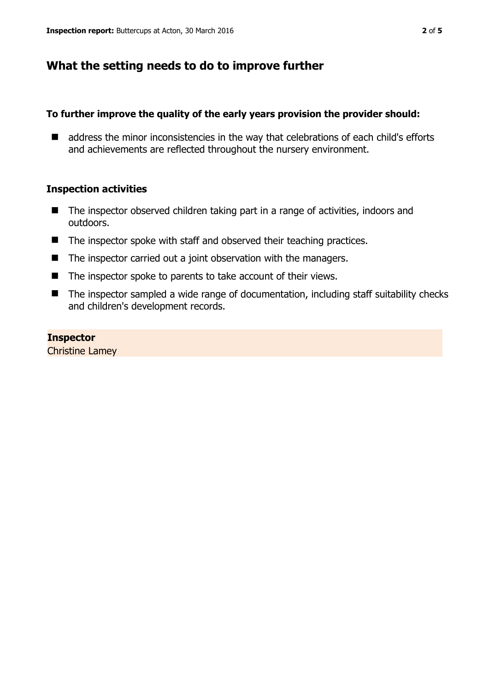## **What the setting needs to do to improve further**

## **To further improve the quality of the early years provision the provider should:**

■ address the minor inconsistencies in the way that celebrations of each child's efforts and achievements are reflected throughout the nursery environment.

## **Inspection activities**

- The inspector observed children taking part in a range of activities, indoors and outdoors.
- $\blacksquare$  The inspector spoke with staff and observed their teaching practices.
- $\blacksquare$  The inspector carried out a joint observation with the managers.
- $\blacksquare$  The inspector spoke to parents to take account of their views.
- The inspector sampled a wide range of documentation, including staff suitability checks and children's development records.

### **Inspector**

Christine Lamey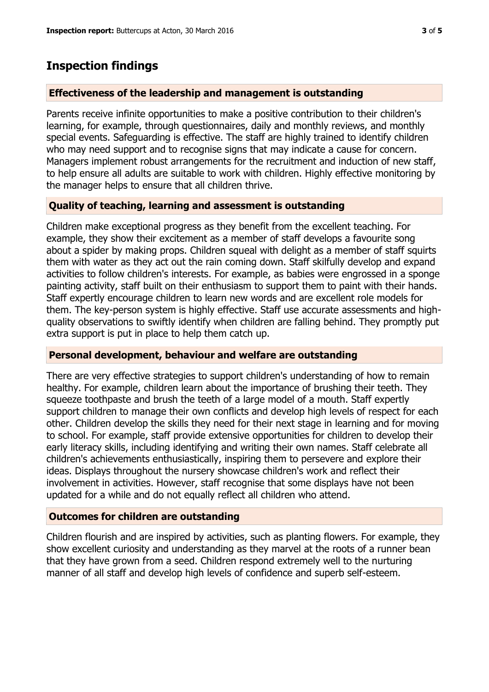## **Inspection findings**

#### **Effectiveness of the leadership and management is outstanding**

Parents receive infinite opportunities to make a positive contribution to their children's learning, for example, through questionnaires, daily and monthly reviews, and monthly special events. Safeguarding is effective. The staff are highly trained to identify children who may need support and to recognise signs that may indicate a cause for concern. Managers implement robust arrangements for the recruitment and induction of new staff, to help ensure all adults are suitable to work with children. Highly effective monitoring by the manager helps to ensure that all children thrive.

#### **Quality of teaching, learning and assessment is outstanding**

Children make exceptional progress as they benefit from the excellent teaching. For example, they show their excitement as a member of staff develops a favourite song about a spider by making props. Children squeal with delight as a member of staff squirts them with water as they act out the rain coming down. Staff skilfully develop and expand activities to follow children's interests. For example, as babies were engrossed in a sponge painting activity, staff built on their enthusiasm to support them to paint with their hands. Staff expertly encourage children to learn new words and are excellent role models for them. The key-person system is highly effective. Staff use accurate assessments and highquality observations to swiftly identify when children are falling behind. They promptly put extra support is put in place to help them catch up.

#### **Personal development, behaviour and welfare are outstanding**

There are very effective strategies to support children's understanding of how to remain healthy. For example, children learn about the importance of brushing their teeth. They squeeze toothpaste and brush the teeth of a large model of a mouth. Staff expertly support children to manage their own conflicts and develop high levels of respect for each other. Children develop the skills they need for their next stage in learning and for moving to school. For example, staff provide extensive opportunities for children to develop their early literacy skills, including identifying and writing their own names. Staff celebrate all children's achievements enthusiastically, inspiring them to persevere and explore their ideas. Displays throughout the nursery showcase children's work and reflect their involvement in activities. However, staff recognise that some displays have not been updated for a while and do not equally reflect all children who attend.

#### **Outcomes for children are outstanding**

Children flourish and are inspired by activities, such as planting flowers. For example, they show excellent curiosity and understanding as they marvel at the roots of a runner bean that they have grown from a seed. Children respond extremely well to the nurturing manner of all staff and develop high levels of confidence and superb self-esteem.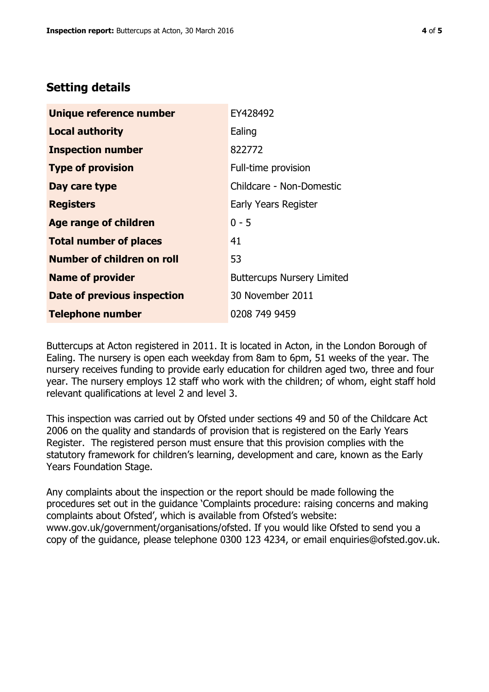## **Setting details**

| Unique reference number           | EY428492                          |
|-----------------------------------|-----------------------------------|
| <b>Local authority</b>            | Ealing                            |
| <b>Inspection number</b>          | 822772                            |
| <b>Type of provision</b>          | Full-time provision               |
| Day care type                     | Childcare - Non-Domestic          |
| <b>Registers</b>                  | Early Years Register              |
| Age range of children             | $0 - 5$                           |
| <b>Total number of places</b>     | 41                                |
| <b>Number of children on roll</b> | 53                                |
| <b>Name of provider</b>           | <b>Buttercups Nursery Limited</b> |
| Date of previous inspection       | 30 November 2011                  |
| <b>Telephone number</b>           | 0208 749 9459                     |

Buttercups at Acton registered in 2011. It is located in Acton, in the London Borough of Ealing. The nursery is open each weekday from 8am to 6pm, 51 weeks of the year. The nursery receives funding to provide early education for children aged two, three and four year. The nursery employs 12 staff who work with the children; of whom, eight staff hold relevant qualifications at level 2 and level 3.

This inspection was carried out by Ofsted under sections 49 and 50 of the Childcare Act 2006 on the quality and standards of provision that is registered on the Early Years Register. The registered person must ensure that this provision complies with the statutory framework for children's learning, development and care, known as the Early Years Foundation Stage.

Any complaints about the inspection or the report should be made following the procedures set out in the guidance 'Complaints procedure: raising concerns and making complaints about Ofsted', which is available from Ofsted's website: www.gov.uk/government/organisations/ofsted. If you would like Ofsted to send you a copy of the guidance, please telephone 0300 123 4234, or email enquiries@ofsted.gov.uk.